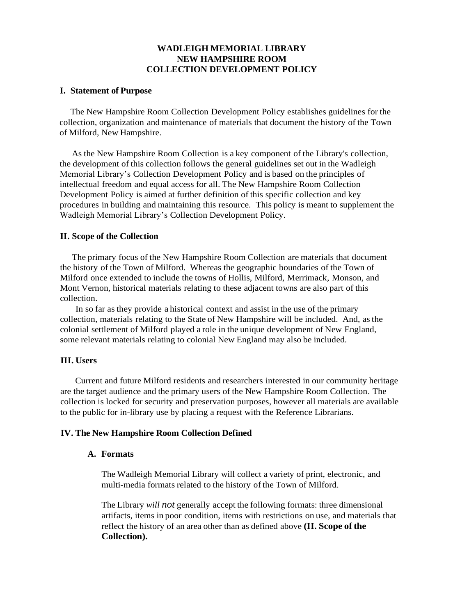# **WADLEIGH MEMORIAL LIBRARY NEW HAMPSHIRE ROOM COLLECTION DEVELOPMENT POLICY**

### **I. Statement of Purpose**

The New Hampshire Room Collection Development Policy establishes guidelines for the collection, organization and maintenance of materials that document the history of the Town of Milford, New Hampshire.

As the New Hampshire Room Collection is a key component of the Library's collection, the development of this collection follows the general guidelines set out in the Wadleigh Memorial Library's Collection Development Policy and is based on the principles of intellectual freedom and equal access for all. The New Hampshire Room Collection Development Policy is aimed at further definition of this specific collection and key procedures in building and maintaining this resource. This policy is meant to supplement the Wadleigh Memorial Library's Collection Development Policy.

#### **II. Scope of the Collection**

The primary focus of the New Hampshire Room Collection are materials that document the history of the Town of Milford. Whereas the geographic boundaries of the Town of Milford once extended to include the towns of Hollis, Milford, Merrimack, Monson, and Mont Vernon, historical materials relating to these adjacent towns are also part of this collection.

In so far as they provide a historical context and assist in the use of the primary collection, materials relating to the State of New Hampshire will be included. And, asthe colonial settlement of Milford played a role in the unique development of New England, some relevant materials relating to colonial New England may also be included.

### **III. Users**

Current and future Milford residents and researchers interested in our community heritage are the target audience and the primary users of the New Hampshire Room Collection. The collection is locked for security and preservation purposes, however all materials are available to the public for in-library use by placing a request with the Reference Librarians.

### **IV. The New Hampshire Room Collection Defined**

### **A. Formats**

The Wadleigh Memorial Library will collect a variety of print, electronic, and multi-media formats related to the history of the Town of Milford.

The Library *will not* generally accept the following formats: three dimensional artifacts, items in poor condition, items with restrictions on use, and materials that reflect the history of an area other than as defined above **(II. Scope of the Collection).**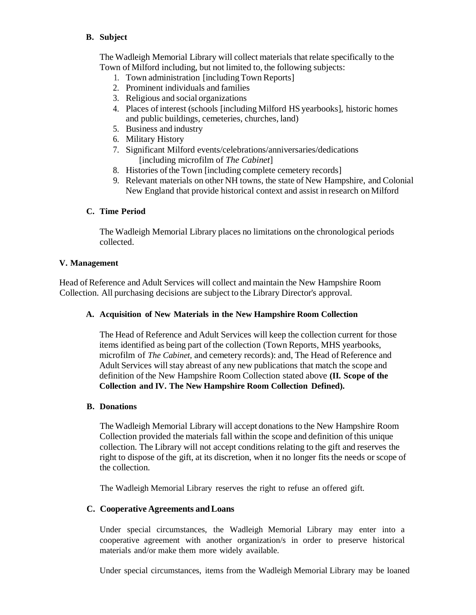## **B. Subject**

The Wadleigh Memorial Library will collect materials that relate specifically to the Town of Milford including, but not limited to, the following subjects:

- 1. Town administration [including Town Reports]
- 2. Prominent individuals and families
- 3. Religious and social organizations
- 4. Places of interest (schools [including Milford HS yearbooks], historic homes and public buildings, cemeteries, churches, land)
- 5. Business and industry
- 6. Military History
- 7. Significant Milford events/celebrations/anniversaries/dedications [including microfilm of *The Cabinet*]
- 8. Histories of the Town [including complete cemetery records]
- 9. Relevant materials on other NH towns, the state of New Hampshire, and Colonial New England that provide historical context and assist in research on Milford

# **C. Time Period**

The Wadleigh Memorial Library places no limitations on the chronological periods collected.

### **V. Management**

Head of Reference and Adult Services will collect and maintain the New Hampshire Room Collection. All purchasing decisions are subject to the Library Director's approval.

# **A. Acquisition of New Materials in the New Hampshire Room Collection**

The Head of Reference and Adult Services will keep the collection current for those items identified as being part of the collection (Town Reports, MHS yearbooks, microfilm of *The Cabinet*, and cemetery records): and, The Head of Reference and Adult Services will stay abreast of any new publications that match the scope and definition of the New Hampshire Room Collection stated above **(II. Scope of the Collection and IV. The New Hampshire Room Collection Defined).**

### **B. Donations**

The Wadleigh Memorial Library will accept donations to the New Hampshire Room Collection provided the materials fall within the scope and definition ofthis unique collection. The Library will not accept conditions relating to the gift and reserves the right to dispose of the gift, at its discretion, when it no longer fits the needs or scope of the collection.

The Wadleigh Memorial Library reserves the right to refuse an offered gift.

# **C. Cooperative Agreements andLoans**

Under special circumstances, the Wadleigh Memorial Library may enter into a cooperative agreement with another organization/s in order to preserve historical materials and/or make them more widely available.

Under special circumstances, items from the Wadleigh Memorial Library may be loaned